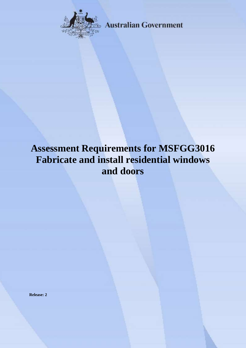

**Australian Government** 

# **Assessment Requirements for MSFGG3016 Fabricate and install residential windows and doors**

**Release: 2**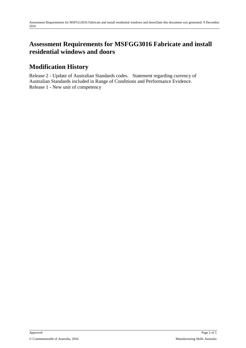#### **Assessment Requirements for MSFGG3016 Fabricate and install residential windows and doors**

## **Modification History**

Release 2 - Update of Australian Standards codes. Statement regarding currency of Australian Standards included in Range of Conditions and Performance Evidence. Release 1 - New unit of competency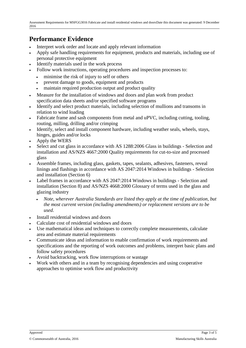#### **Performance Evidence**

- Interpret work order and locate and apply relevant information
- Apply safe handling requirements for equipment, products and materials, including use of personal protective equipment
- Identify materials used in the work process
- Follow work instructions, operating procedures and inspection processes to:
	- minimise the risk of injury to self or others
	- prevent damage to goods, equipment and products
	- maintain required production output and product quality
- Measure for the installation of windows and doors and plan work from product specification data sheets and/or specified software programs
- Identify and select product materials, including selection of mullions and transoms in relation to wind loading
- Fabricate frame and sash components from metal and uPVC, including cutting, tooling, routing, milling, drilling and/or crimping
- Identify, select and install component hardware, including weather seals, wheels, stays, hinges, guides and/or locks
- Apply the WERS
- Select and cut glass in accordance with AS 1288:2006 Glass in buildings Selection and installation and AS/NZS 4667:2000 Quality requirements for cut-to-size and processed glass
- Assemble frames, including glass, gaskets, tapes, sealants, adhesives, fasteners, reveal linings and flashings in accordance with AS 2047:2014 Windows in buildings - Selection and installation (Section 6)
- Label frames in accordance with AS 2047:2014 Windows in buildings Selection and installation (Section 8) and AS/NZS 4668:2000 Glossary of terms used in the glass and glazing industry
	- *Note, wherever Australia Standards are listed they apply at the time of publication, but the most current version (including amendments) or replacement versions are to be used*.
- Install residential windows and doors
- Calculate cost of residential windows and doors
- Use mathematical ideas and techniques to correctly complete measurements, calculate area and estimate material requirements
- Communicate ideas and information to enable confirmation of work requirements and specifications and the reporting of work outcomes and problems, interpret basic plans and follow safety procedures
- Avoid backtracking, work flow interruptions or wastage
- Work with others and in a team by recognising dependencies and using cooperative approaches to optimise work flow and productivity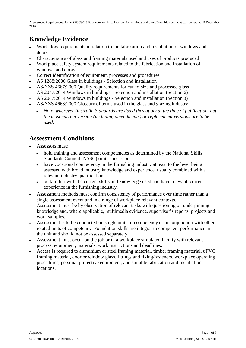### **Knowledge Evidence**

- Work flow requirements in relation to the fabrication and installation of windows and doors
- Characteristics of glass and framing materials used and uses of products produced
- Workplace safety system requirements related to the fabrication and installation of windows and doors
- Correct identification of equipment, processes and procedures
- AS 1288:2006 Glass in buildings Selection and installation
- AS/NZS 4667:2000 Quality requirements for cut-to-size and processed glass
- AS 2047:2014 Windows in buildings Selection and installation (Section 6)
- AS 2047:2014 Windows in buildings Selection and installation (Section 8)
- AS/NZS 4668:2000 Glossary of terms used in the glass and glazing industry
	- *Note, wherever Australia Standards are listed they apply at the time of publication, but the most current version (including amendments) or replacement versions are to be used.*

#### **Assessment Conditions**

- Assessors must:
	- hold training and assessment competencies as determined by the National Skills Standards Council (NSSC) or its successors
	- have vocational competency in the furnishing industry at least to the level being assessed with broad industry knowledge and experience, usually combined with a relevant industry qualification
	- be familiar with the current skills and knowledge used and have relevant, current experience in the furnishing industry.
- Assessment methods must confirm consistency of performance over time rather than a single assessment event and in a range of workplace relevant contexts.
- Assessment must be by observation of relevant tasks with questioning on underpinning knowledge and, where applicable, multimedia evidence, supervisor's reports, projects and work samples.
- Assessment is to be conducted on single units of competency or in conjunction with other related units of competency. Foundation skills are integral to competent performance in the unit and should not be assessed separately.
- Assessment must occur on the job or in a workplace simulated facility with relevant process, equipment, materials, work instructions and deadlines.
- Access is required to aluminium or steel framing material, timber framing material, uPVC framing material, door or window glass, fittings and fixing/fasteners, workplace operating procedures, personal protective equipment, and suitable fabrication and installation locations.